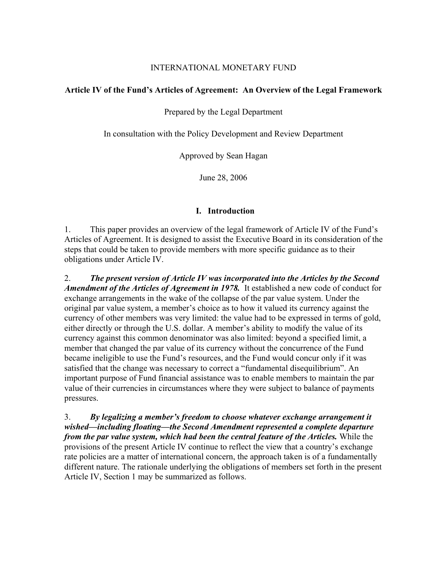#### INTERNATIONAL MONETARY FUND

## **Article IV of the Fund's Articles of Agreement: An Overview of the Legal Framework**

Prepared by the Legal Department

In consultation with the Policy Development and Review Department

Approved by Sean Hagan

June 28, 2006

## **I.****Introduction**

1. This paper provides an overview of the legal framework of Article IV of the Fund's Articles of Agreement. It is designed to assist the Executive Board in its consideration of the steps that could be taken to provide members with more specific guidance as to their obligations under Article IV.

2. *The present version of Article IV was incorporated into the Articles by the Second Amendment of the Articles of Agreement in 1978.* It established a new code of conduct for exchange arrangements in the wake of the collapse of the par value system. Under the original par value system, a member's choice as to how it valued its currency against the currency of other members was very limited: the value had to be expressed in terms of gold, either directly or through the U.S. dollar. A member's ability to modify the value of its currency against this common denominator was also limited: beyond a specified limit, a member that changed the par value of its currency without the concurrence of the Fund became ineligible to use the Fund's resources, and the Fund would concur only if it was satisfied that the change was necessary to correct a "fundamental disequilibrium". An important purpose of Fund financial assistance was to enable members to maintain the par value of their currencies in circumstances where they were subject to balance of payments pressures.

3. *By legalizing a member's freedom to choose whatever exchange arrangement it wished—including floating—the Second Amendment represented a complete departure from the par value system, which had been the central feature of the Articles.* While the provisions of the present Article IV continue to reflect the view that a country's exchange rate policies are a matter of international concern, the approach taken is of a fundamentally different nature. The rationale underlying the obligations of members set forth in the present Article IV, Section 1 may be summarized as follows.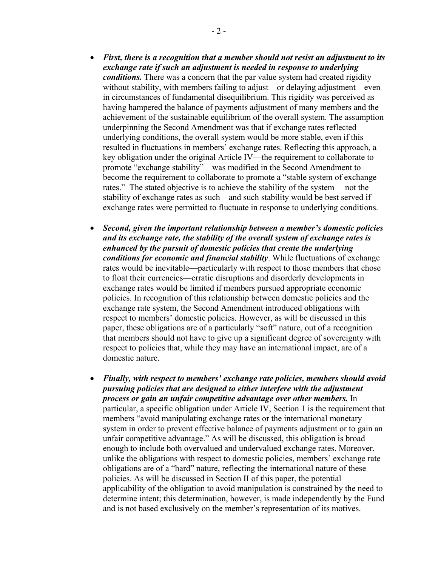- *First, there is a recognition that a member should not resist an adjustment to its exchange rate if such an adjustment is needed in response to underlying conditions.* There was a concern that the par value system had created rigidity without stability, with members failing to adjust—or delaying adjustment—even in circumstances of fundamental disequilibrium. This rigidity was perceived as having hampered the balance of payments adjustment of many members and the achievement of the sustainable equilibrium of the overall system. The assumption underpinning the Second Amendment was that if exchange rates reflected underlying conditions, the overall system would be more stable, even if this resulted in fluctuations in members' exchange rates. Reflecting this approach, a key obligation under the original Article IV—the requirement to collaborate to promote "exchange stability"—was modified in the Second Amendment to become the requirement to collaborate to promote a "stable system of exchange rates." The stated objective is to achieve the stability of the system— not the stability of exchange rates as such—and such stability would be best served if exchange rates were permitted to fluctuate in response to underlying conditions.
- *Second, given the important relationship between a member's domestic policies and its exchange rate, the stability of the overall system of exchange rates is enhanced by the pursuit of domestic policies that create the underlying conditions for economic and financial stability*. While fluctuations of exchange rates would be inevitable—particularly with respect to those members that chose to float their currencies—erratic disruptions and disorderly developments in exchange rates would be limited if members pursued appropriate economic policies. In recognition of this relationship between domestic policies and the exchange rate system, the Second Amendment introduced obligations with respect to members' domestic policies. However, as will be discussed in this paper, these obligations are of a particularly "soft" nature, out of a recognition that members should not have to give up a significant degree of sovereignty with respect to policies that, while they may have an international impact, are of a domestic nature.
- *Finally, with respect to members' exchange rate policies, members should avoid pursuing policies that are designed to either interfere with the adjustment process or gain an unfair competitive advantage over other members.* In particular, a specific obligation under Article IV, Section 1 is the requirement that members "avoid manipulating exchange rates or the international monetary system in order to prevent effective balance of payments adjustment or to gain an unfair competitive advantage." As will be discussed, this obligation is broad enough to include both overvalued and undervalued exchange rates. Moreover, unlike the obligations with respect to domestic policies, members' exchange rate obligations are of a "hard" nature, reflecting the international nature of these policies. As will be discussed in Section II of this paper, the potential applicability of the obligation to avoid manipulation is constrained by the need to determine intent; this determination, however, is made independently by the Fund and is not based exclusively on the member's representation of its motives.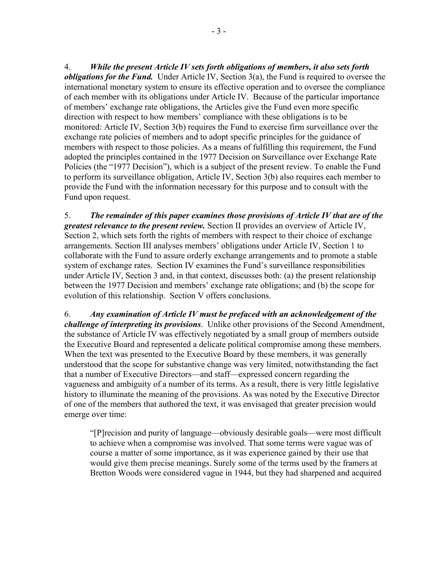4. *While the present Article IV sets forth obligations of members, it also sets forth obligations for the Fund.* Under Article IV, Section 3(a), the Fund is required to oversee the international monetary system to ensure its effective operation and to oversee the compliance of each member with its obligations under Article IV. Because of the particular importance of members' exchange rate obligations, the Articles give the Fund even more specific direction with respect to how members' compliance with these obligations is to be monitored: Article IV, Section 3(b) requires the Fund to exercise firm surveillance over the exchange rate policies of members and to adopt specific principles for the guidance of members with respect to those policies. As a means of fulfilling this requirement, the Fund adopted the principles contained in the 1977 Decision on Surveillance over Exchange Rate Policies (the "1977 Decision"), which is a subject of the present review. To enable the Fund to perform its surveillance obligation, Article IV, Section 3(b) also requires each member to provide the Fund with the information necessary for this purpose and to consult with the Fund upon request.

5. *The remainder of this paper examines those provisions of Article IV that are of the greatest relevance to the present review.* Section II provides an overview of Article IV, Section 2, which sets forth the rights of members with respect to their choice of exchange arrangements. Section III analyses members' obligations under Article IV, Section 1 to collaborate with the Fund to assure orderly exchange arrangements and to promote a stable system of exchange rates. Section IV examines the Fund's surveillance responsibilities under Article IV, Section 3 and, in that context, discusses both: (a) the present relationship between the 1977 Decision and members' exchange rate obligations; and (b) the scope for evolution of this relationship. Section V offers conclusions.

6. *Any examination of Article IV must be prefaced with an acknowledgement of the challenge of interpreting its provisions*. Unlike other provisions of the Second Amendment, the substance of Article IV was effectively negotiated by a small group of members outside the Executive Board and represented a delicate political compromise among these members. When the text was presented to the Executive Board by these members, it was generally understood that the scope for substantive change was very limited, notwithstanding the fact that a number of Executive Directors—and staff—expressed concern regarding the vagueness and ambiguity of a number of its terms. As a result, there is very little legislative history to illuminate the meaning of the provisions. As was noted by the Executive Director of one of the members that authored the text, it was envisaged that greater precision would emerge over time:

"[P]recision and purity of language—obviously desirable goals—were most difficult to achieve when a compromise was involved. That some terms were vague was of course a matter of some importance, as it was experience gained by their use that would give them precise meanings. Surely some of the terms used by the framers at Bretton Woods were considered vague in 1944, but they had sharpened and acquired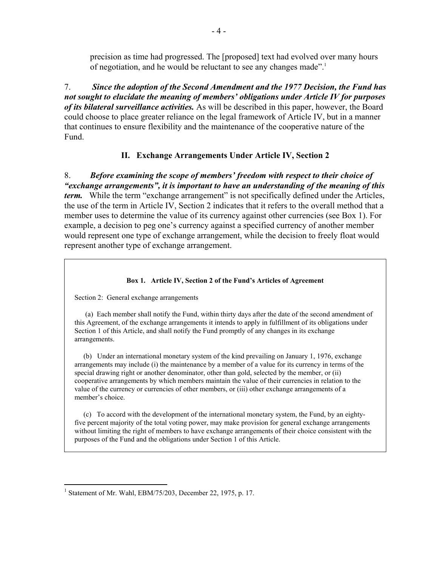precision as time had progressed. The [proposed] text had evolved over many hours of negotiation, and he would be reluctant to see any changes made".<sup>1</sup>

7. *Since the adoption of the Second Amendment and the 1977 Decision, the Fund has not sought to elucidate the meaning of members' obligations under Article IV for purposes of its bilateral surveillance activities.* As will be described in this paper, however, the Board could choose to place greater reliance on the legal framework of Article IV, but in a manner that continues to ensure flexibility and the maintenance of the cooperative nature of the Fund.

## **II. Exchange Arrangements Under Article IV, Section 2**

8. *Before examining the scope of members' freedom with respect to their choice of "exchange arrangements", it is important to have an understanding of the meaning of this term.* While the term "exchange arrangement" is not specifically defined under the Articles, the use of the term in Article IV, Section 2 indicates that it refers to the overall method that a member uses to determine the value of its currency against other currencies (see Box 1). For example, a decision to peg one's currency against a specified currency of another member would represent one type of exchange arrangement, while the decision to freely float would represent another type of exchange arrangement.

#### **Box 1. Article IV, Section 2 of the Fund's Articles of Agreement**

Section 2: General exchange arrangements

 (a) Each member shall notify the Fund, within thirty days after the date of the second amendment of this Agreement, of the exchange arrangements it intends to apply in fulfillment of its obligations under Section 1 of this Article, and shall notify the Fund promptly of any changes in its exchange arrangements.

 (b) Under an international monetary system of the kind prevailing on January 1, 1976, exchange arrangements may include (i) the maintenance by a member of a value for its currency in terms of the special drawing right or another denominator, other than gold, selected by the member, or (ii) cooperative arrangements by which members maintain the value of their currencies in relation to the value of the currency or currencies of other members, or (iii) other exchange arrangements of a member's choice.

 (c) To accord with the development of the international monetary system, the Fund, by an eightyfive percent majority of the total voting power, may make provision for general exchange arrangements without limiting the right of members to have exchange arrangements of their choice consistent with the purposes of the Fund and the obligations under Section 1 of this Article.

<sup>&</sup>lt;sup>1</sup> Statement of Mr. Wahl, EBM/75/203, December 22, 1975, p. 17.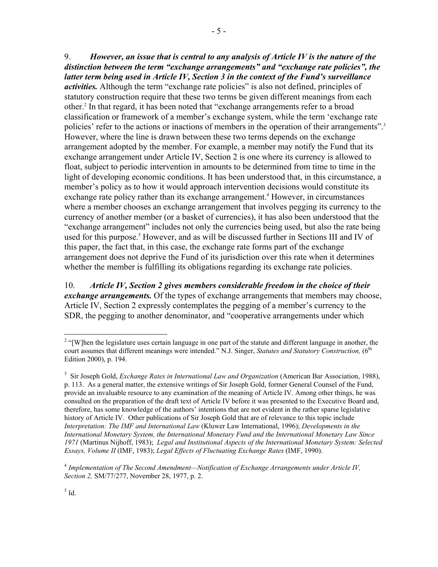9. *However, an issue that is central to any analysis of Article IV is the nature of the distinction between the term "exchange arrangements" and "exchange rate policies", the latter term being used in Article IV, Section 3 in the context of the Fund's surveillance activities.* Although the term "exchange rate policies" is also not defined, principles of statutory construction require that these two terms be given different meanings from each other.<sup>2</sup> In that regard, it has been noted that "exchange arrangements refer to a broad classification or framework of a member's exchange system, while the term 'exchange rate policies' refer to the actions or inactions of members in the operation of their arrangements".<sup>3</sup> However, where the line is drawn between these two terms depends on the exchange arrangement adopted by the member. For example, a member may notify the Fund that its exchange arrangement under Article IV, Section 2 is one where its currency is allowed to float, subject to periodic intervention in amounts to be determined from time to time in the light of developing economic conditions. It has been understood that, in this circumstance, a member's policy as to how it would approach intervention decisions would constitute its exchange rate policy rather than its exchange arrangement.<sup>4</sup> However, in circumstances where a member chooses an exchange arrangement that involves pegging its currency to the currency of another member (or a basket of currencies), it has also been understood that the "exchange arrangement" includes not only the currencies being used, but also the rate being used for this purpose.<sup>5</sup> However, and as will be discussed further in Sections III and IV of this paper, the fact that, in this case, the exchange rate forms part of the exchange arrangement does not deprive the Fund of its jurisdiction over this rate when it determines whether the member is fulfilling its obligations regarding its exchange rate policies.

10. *Article IV, Section 2 gives members considerable freedom in the choice of their exchange arrangements.* Of the types of exchange arrangements that members may choose, Article IV, Section 2 expressly contemplates the pegging of a member's currency to the SDR, the pegging to another denominator, and "cooperative arrangements under which

 $2$  "[W]hen the legislature uses certain language in one part of the statute and different language in another, the court assumes that different meanings were intended." N.J. Singer, *Statutes and Statutory Construction*, (6<sup>th</sup> Edition 2000), p. 194.

<sup>&</sup>lt;sup>3</sup> Sir Joseph Gold, *Exchange Rates in International Law and Organization* (American Bar Association, 1988), p. 113. As a general matter, the extensive writings of Sir Joseph Gold, former General Counsel of the Fund, provide an invaluable resource to any examination of the meaning of Article IV. Among other things, he was consulted on the preparation of the draft text of Article IV before it was presented to the Executive Board and, therefore, has some knowledge of the authors' intentions that are not evident in the rather sparse legislative history of Article IV. Other publications of Sir Joseph Gold that are of relevance to this topic include *Interpretation: The IMF and International Law* (Kluwer Law International, 1996); *Developments in the International Monetary System, the International Monetary Fund and the International Monetary Law Since 1971* (Martinus Nijhoff, 1983); *Legal and Institutional Aspects of the International Monetary System: Selected Essays, Volume II* (IMF, 1983); *Legal Effects of Fluctuating Exchange Rates* (IMF, 1990).

<sup>4</sup> *Implementation of The Second Amendment—Notification of Exchange Arrangements under Article IV, Section 2,* SM/77/277, November 28, 1977, p. 2.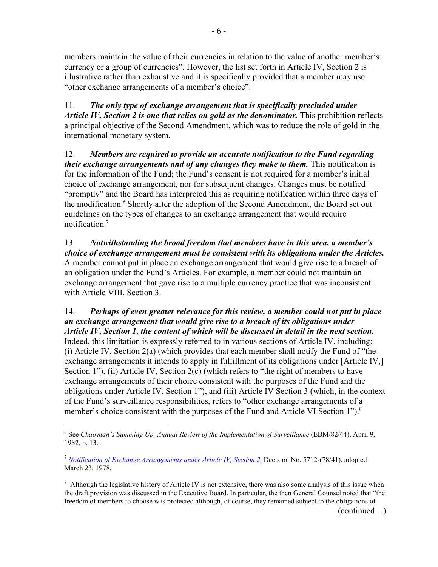members maintain the value of their currencies in relation to the value of another member's currency or a group of currencies". However, the list set forth in Article IV, Section 2 is illustrative rather than exhaustive and it is specifically provided that a member may use "other exchange arrangements of a member's choice".

11. *The only type of exchange arrangement that is specifically precluded under Article IV, Section 2 is one that relies on gold as the denominator.* This prohibition reflects a principal objective of the Second Amendment, which was to reduce the role of gold in the international monetary system.

12. *Members are required to provide an accurate notification to the Fund regarding their exchange arrangements and of any changes they make to them.* This notification is for the information of the Fund; the Fund's consent is not required for a member's initial choice of exchange arrangement, nor for subsequent changes. Changes must be notified "promptly" and the Board has interpreted this as requiring notification within three days of the modification.<sup>6</sup> Shortly after the adoption of the Second Amendment, the Board set out guidelines on the types of changes to an exchange arrangement that would require notification.7

13. *Notwithstanding the broad freedom that members have in this area, a member's choice of exchange arrangement must be consistent with its obligations under the Articles.* A member cannot put in place an exchange arrangement that would give rise to a breach of an obligation under the Fund's Articles. For example, a member could not maintain an exchange arrangement that gave rise to a multiple currency practice that was inconsistent with Article VIII, Section 3.

14. *Perhaps of even greater relevance for this review, a member could not put in place an exchange arrangement that would give rise to a breach of its obligations under Article IV, Section 1, the content of which will be discussed in detail in the next section.* Indeed, this limitation is expressly referred to in various sections of Article IV, including: (i) Article IV, Section 2(a) (which provides that each member shall notify the Fund of "the exchange arrangements it intends to apply in fulfillment of its obligations under [Article IV,] Section 1"), (ii) Article IV, Section 2(c) (which refers to "the right of members to have exchange arrangements of their choice consistent with the purposes of the Fund and the obligations under Article IV, Section 1"), and (iii) Article IV Section 3 (which, in the context of the Fund's surveillance responsibilities, refers to "other exchange arrangements of a member's choice consistent with the purposes of the Fund and Article VI Section 1").<sup>8</sup>

1

(continued…)

<sup>6</sup> See *Chairman's Summing Up, Annual Review of the Implementation of Surveillance* (EBM/82/44), April 9, 1982, p. 13.

<sup>7</sup> *Notification of Exchange Arrangements under Article IV, Section 2*, Decision No. 5712-(78/41), adopted March 23, 1978.

<sup>&</sup>lt;sup>8</sup> Although the legislative history of Article IV is not extensive, there was also some analysis of this issue when the draft provision was discussed in the Executive Board. In particular, the then General Counsel noted that "the freedom of members to choose was protected although, of course, they remained subject to the obligations of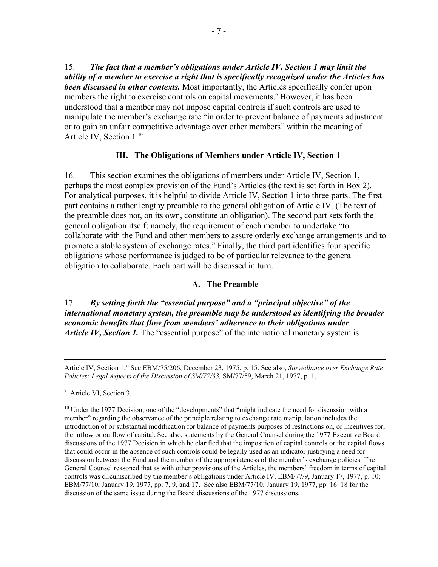15. *The fact that a member's obligations under Article IV, Section 1 may limit the ability of a member to exercise a right that is specifically recognized under the Articles has been discussed in other contexts.* Most importantly, the Articles specifically confer upon members the right to exercise controls on capital movements.<sup>9</sup> However, it has been understood that a member may not impose capital controls if such controls are used to manipulate the member's exchange rate "in order to prevent balance of payments adjustment or to gain an unfair competitive advantage over other members" within the meaning of Article IV, Section 1.<sup>10</sup>

## **III. The Obligations of Members under Article IV, Section 1**

16. This section examines the obligations of members under Article IV, Section 1, perhaps the most complex provision of the Fund's Articles (the text is set forth in Box 2). For analytical purposes, it is helpful to divide Article IV, Section 1 into three parts. The first part contains a rather lengthy preamble to the general obligation of Article IV. (The text of the preamble does not, on its own, constitute an obligation). The second part sets forth the general obligation itself; namely, the requirement of each member to undertake "to collaborate with the Fund and other members to assure orderly exchange arrangements and to promote a stable system of exchange rates." Finally, the third part identifies four specific obligations whose performance is judged to be of particular relevance to the general obligation to collaborate. Each part will be discussed in turn.

#### **A. The Preamble**

17. *By setting forth the "essential purpose" and a "principal objective" of the international monetary system, the preamble may be understood as identifying the broader economic benefits that flow from members' adherence to their obligations under Article IV, Section 1.* The "essential purpose" of the international monetary system is

Article IV, Section 1." See EBM/75/206, December 23, 1975, p. 15. See also, *Surveillance over Exchange Rate Policies; Legal Aspects of the Discussion of SM/77/33,* SM/77/59, March 21, 1977, p. 1.

<sup>&</sup>lt;sup>9</sup> Article VI, Section 3.

 $10$  Under the 1977 Decision, one of the "developments" that "might indicate the need for discussion with a member" regarding the observance of the principle relating to exchange rate manipulation includes the introduction of or substantial modification for balance of payments purposes of restrictions on, or incentives for, the inflow or outflow of capital. See also, statements by the General Counsel during the 1977 Executive Board discussions of the 1977 Decision in which he clarified that the imposition of capital controls or the capital flows that could occur in the absence of such controls could be legally used as an indicator justifying a need for discussion between the Fund and the member of the appropriateness of the member's exchange policies. The General Counsel reasoned that as with other provisions of the Articles, the members' freedom in terms of capital controls was circumscribed by the member's obligations under Article IV. EBM/77/9, January 17, 1977, p. 10; EBM/77/10, January 19, 1977, pp. 7, 9, and 17. See also EBM/77/10, January 19, 1977, pp. 16–18 for the discussion of the same issue during the Board discussions of the 1977 discussions.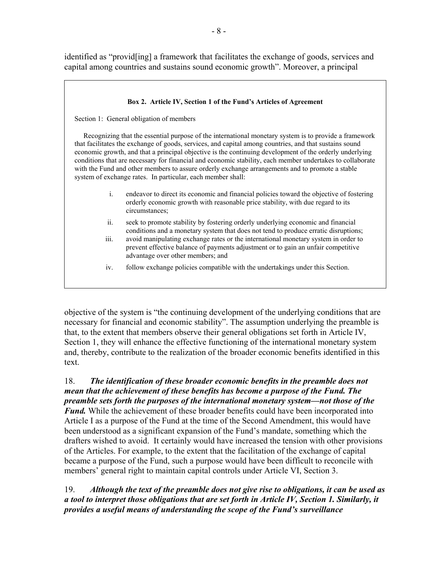identified as "provid[ing] a framework that facilitates the exchange of goods, services and capital among countries and sustains sound economic growth". Moreover, a principal

| Box 2. Article IV, Section 1 of the Fund's Articles of Agreement                                                                                                                                                                                                                                                                                                                                                                                                                                                                                                                                          |                                                                                                                                                                                                              |
|-----------------------------------------------------------------------------------------------------------------------------------------------------------------------------------------------------------------------------------------------------------------------------------------------------------------------------------------------------------------------------------------------------------------------------------------------------------------------------------------------------------------------------------------------------------------------------------------------------------|--------------------------------------------------------------------------------------------------------------------------------------------------------------------------------------------------------------|
| Section 1: General obligation of members                                                                                                                                                                                                                                                                                                                                                                                                                                                                                                                                                                  |                                                                                                                                                                                                              |
| Recognizing that the essential purpose of the international monetary system is to provide a framework<br>that facilitates the exchange of goods, services, and capital among countries, and that sustains sound<br>economic growth, and that a principal objective is the continuing development of the orderly underlying<br>conditions that are necessary for financial and economic stability, each member undertakes to collaborate<br>with the Fund and other members to assure orderly exchange arrangements and to promote a stable<br>system of exchange rates. In particular, each member shall: |                                                                                                                                                                                                              |
| $\mathbf{i}$                                                                                                                                                                                                                                                                                                                                                                                                                                                                                                                                                                                              | endeavor to direct its economic and financial policies toward the objective of fostering<br>orderly economic growth with reasonable price stability, with due regard to its<br>circumstances;                |
| ii.                                                                                                                                                                                                                                                                                                                                                                                                                                                                                                                                                                                                       | seek to promote stability by fostering orderly underlying economic and financial<br>conditions and a monetary system that does not tend to produce erratic disruptions;                                      |
| iii.                                                                                                                                                                                                                                                                                                                                                                                                                                                                                                                                                                                                      | avoid manipulating exchange rates or the international monetary system in order to<br>prevent effective balance of payments adjustment or to gain an unfair competitive<br>advantage over other members; and |
| iv.                                                                                                                                                                                                                                                                                                                                                                                                                                                                                                                                                                                                       | follow exchange policies compatible with the undertakings under this Section.                                                                                                                                |

objective of the system is "the continuing development of the underlying conditions that are necessary for financial and economic stability". The assumption underlying the preamble is that, to the extent that members observe their general obligations set forth in Article IV, Section 1, they will enhance the effective functioning of the international monetary system and, thereby, contribute to the realization of the broader economic benefits identified in this text.

18. *The identification of these broader economic benefits in the preamble does not mean that the achievement of these benefits has become a purpose of the Fund. The preamble sets forth the purposes of the international monetary system—not those of the Fund.* While the achievement of these broader benefits could have been incorporated into Article I as a purpose of the Fund at the time of the Second Amendment, this would have been understood as a significant expansion of the Fund's mandate, something which the drafters wished to avoid. It certainly would have increased the tension with other provisions of the Articles. For example, to the extent that the facilitation of the exchange of capital became a purpose of the Fund, such a purpose would have been difficult to reconcile with members' general right to maintain capital controls under Article VI, Section 3.

19. *Although the text of the preamble does not give rise to obligations, it can be used as a tool to interpret those obligations that are set forth in Article IV, Section 1. Similarly, it provides a useful means of understanding the scope of the Fund's surveillance*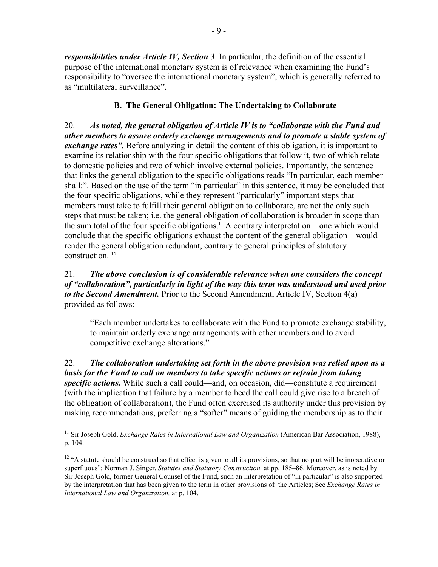*responsibilities under Article IV, Section 3*. In particular, the definition of the essential purpose of the international monetary system is of relevance when examining the Fund's responsibility to "oversee the international monetary system", which is generally referred to as "multilateral surveillance".

## **B. The General Obligation: The Undertaking to Collaborate**

20. *As noted, the general obligation of Article IV is to "collaborate with the Fund and other members to assure orderly exchange arrangements and to promote a stable system of exchange rates".* Before analyzing in detail the content of this obligation, it is important to examine its relationship with the four specific obligations that follow it, two of which relate to domestic policies and two of which involve external policies. Importantly, the sentence that links the general obligation to the specific obligations reads "In particular, each member shall:". Based on the use of the term "in particular" in this sentence, it may be concluded that the four specific obligations, while they represent "particularly" important steps that members must take to fulfill their general obligation to collaborate, are not the only such steps that must be taken; i.e. the general obligation of collaboration is broader in scope than the sum total of the four specific obligations.11 A contrary interpretation—one which would conclude that the specific obligations exhaust the content of the general obligation—would render the general obligation redundant, contrary to general principles of statutory construction. 12

## 21. *The above conclusion is of considerable relevance when one considers the concept of "collaboration", particularly in light of the way this term was understood and used prior to the Second Amendment.* Prior to the Second Amendment, Article IV, Section 4(a) provided as follows:

"Each member undertakes to collaborate with the Fund to promote exchange stability, to maintain orderly exchange arrangements with other members and to avoid competitive exchange alterations."

22. *The collaboration undertaking set forth in the above provision was relied upon as a basis for the Fund to call on members to take specific actions or refrain from taking specific actions.* While such a call could—and, on occasion, did—constitute a requirement (with the implication that failure by a member to heed the call could give rise to a breach of the obligation of collaboration), the Fund often exercised its authority under this provision by making recommendations, preferring a "softer" means of guiding the membership as to their

1

<sup>&</sup>lt;sup>11</sup> Sir Joseph Gold, *Exchange Rates in International Law and Organization* (American Bar Association, 1988), p. 104.

<sup>&</sup>lt;sup>12</sup> "A statute should be construed so that effect is given to all its provisions, so that no part will be inoperative or superfluous"; Norman J. Singer, *Statutes and Statutory Construction,* at pp. 185–86. Moreover, as is noted by Sir Joseph Gold, former General Counsel of the Fund, such an interpretation of "in particular" is also supported by the interpretation that has been given to the term in other provisions of the Articles; See *Exchange Rates in International Law and Organization,* at p. 104.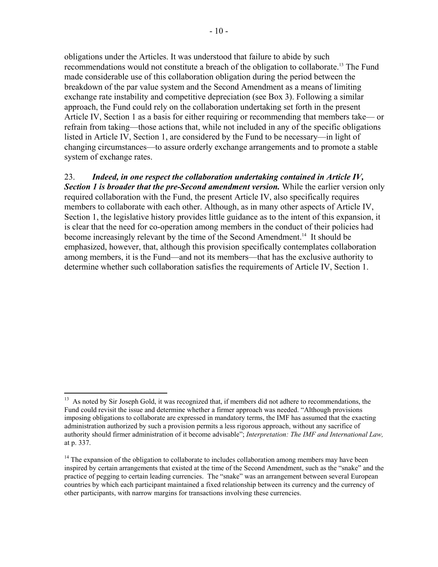obligations under the Articles. It was understood that failure to abide by such recommendations would not constitute a breach of the obligation to collaborate.<sup>13</sup> The Fund made considerable use of this collaboration obligation during the period between the breakdown of the par value system and the Second Amendment as a means of limiting exchange rate instability and competitive depreciation (see Box 3). Following a similar approach, the Fund could rely on the collaboration undertaking set forth in the present Article IV, Section 1 as a basis for either requiring or recommending that members take— or refrain from taking—those actions that, while not included in any of the specific obligations listed in Article IV, Section 1, are considered by the Fund to be necessary—in light of changing circumstances—to assure orderly exchange arrangements and to promote a stable system of exchange rates.

23. *Indeed, in one respect the collaboration undertaking contained in Article IV, Section 1 is broader that the pre-Second amendment version.* While the earlier version only required collaboration with the Fund, the present Article IV, also specifically requires members to collaborate with each other. Although, as in many other aspects of Article IV, Section 1, the legislative history provides little guidance as to the intent of this expansion, it is clear that the need for co-operation among members in the conduct of their policies had become increasingly relevant by the time of the Second Amendment.<sup>14</sup> It should be emphasized, however, that, although this provision specifically contemplates collaboration among members, it is the Fund—and not its members—that has the exclusive authority to determine whether such collaboration satisfies the requirements of Article IV, Section 1.

<sup>&</sup>lt;sup>13</sup> As noted by Sir Joseph Gold, it was recognized that, if members did not adhere to recommendations, the Fund could revisit the issue and determine whether a firmer approach was needed. "Although provisions imposing obligations to collaborate are expressed in mandatory terms, the IMF has assumed that the exacting administration authorized by such a provision permits a less rigorous approach, without any sacrifice of authority should firmer administration of it become advisable"; *Interpretation: The IMF and International Law,*  at p. 337.

<sup>&</sup>lt;sup>14</sup> The expansion of the obligation to collaborate to includes collaboration among members may have been inspired by certain arrangements that existed at the time of the Second Amendment, such as the "snake" and the practice of pegging to certain leading currencies. The "snake" was an arrangement between several European countries by which each participant maintained a fixed relationship between its currency and the currency of other participants, with narrow margins for transactions involving these currencies.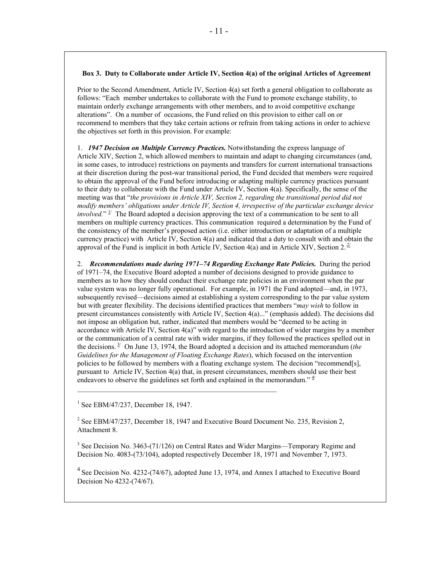#### **Box 3. Duty to Collaborate under Article IV, Section 4(a) of the original Articles of Agreement**

Prior to the Second Amendment, Article IV, Section 4(a) set forth a general obligation to collaborate as follows: "Each member undertakes to collaborate with the Fund to promote exchange stability, to maintain orderly exchange arrangements with other members, and to avoid competitive exchange alterations". On a number of occasions, the Fund relied on this provision to either call on or recommend to members that they take certain actions or refrain from taking actions in order to achieve the objectives set forth in this provision. For example:

1. *1947 Decision on Multiple Currency Practices.* Notwithstanding the express language of Article XIV, Section 2, which allowed members to maintain and adapt to changing circumstances (and, in some cases, to introduce) restrictions on payments and transfers for current international transactions at their discretion during the post-war transitional period, the Fund decided that members were required to obtain the approval of the Fund before introducing or adapting multiple currency practices pursuant to their duty to collaborate with the Fund under Article IV, Section 4(a). Specifically, the sense of the meeting was that "*the provisions in Article XIV, Section 2, regarding the transitional period did not modify members' obligations under Article IV, Section 4, irrespective of the particular exchange device involved.*"  $\frac{1}{2}$  The Board adopted a decision approving the text of a communication to be sent to all members on multiple currency practices. This communication required a determination by the Fund of the consistency of the member's proposed action (i.e. either introduction or adaptation of a multiple currency practice) with Article IV, Section 4(a) and indicated that a duty to consult with and obtain the approval of the Fund is implicit in both Article IV, Section 4(a) and in Article XIV, Section 2.<sup>2/</sup>

2. *Recommendations made during 1971–74 Regarding Exchange Rate Policies.* During the period of 1971–74, the Executive Board adopted a number of decisions designed to provide guidance to members as to how they should conduct their exchange rate policies in an environment when the par value system was no longer fully operational. For example, in 1971 the Fund adopted—and, in 1973, subsequently revised—decisions aimed at establishing a system corresponding to the par value system but with greater flexibility. The decisions identified practices that members "*may wish* to follow in present circumstances consistently with Article IV, Section 4(a)..." (emphasis added). The decisions did not impose an obligation but, rather, indicated that members would be "deemed to be acting in accordance with Article IV, Section 4(a)" with regard to the introduction of wider margins by a member or the communication of a central rate with wider margins, if they followed the practices spelled out in the decisions.  $3^{2}$  On June 13, 1974, the Board adopted a decision and its attached memorandum (*the Guidelines for the Management of Floating Exchange Rates*), which focused on the intervention policies to be followed by members with a floating exchange system. The decision "recommend[s], pursuant to Article IV, Section 4(a) that, in present circumstances, members should use their best endeavors to observe the guidelines set forth and explained in the memorandum."  $\frac{4}{3}$ 

<sup>1</sup> See EBM/47/237, December 18, 1947.

<sup>2</sup> See EBM/47/237, December 18, 1947 and Executive Board Document No. 235, Revision 2, Attachment 8.

 $3$  See Decision No. 3463-(71/126) on Central Rates and Wider Margins—Temporary Regime and Decision No. 4083-(73/104), adopted respectively December 18, 1971 and November 7, 1973.

 $4$  See Decision No. 4232-(74/67), adopted June 13, 1974, and Annex I attached to Executive Board Decision No 4232-(74/67).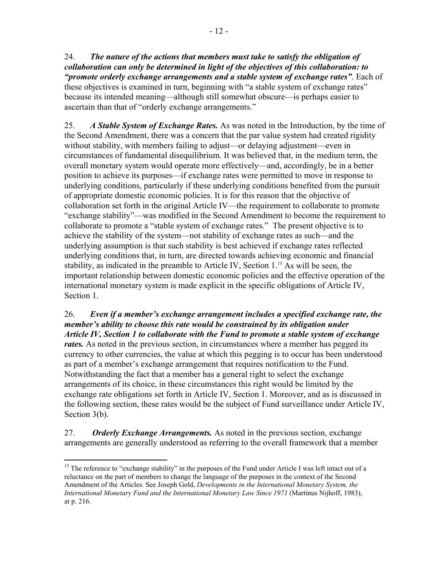24. *The nature of the actions that members must take to satisfy the obligation of collaboration can only be determined in light of the objectives of this collaboration: to "promote orderly exchange arrangements and a stable system of exchange rates"*. Each of these objectives is examined in turn, beginning with "a stable system of exchange rates" because its intended meaning—although still somewhat obscure—is perhaps easier to ascertain than that of "orderly exchange arrangements."

25. *A Stable System of Exchange Rates.* As was noted in the Introduction, by the time of the Second Amendment, there was a concern that the par value system had created rigidity without stability, with members failing to adjust—or delaying adjustment—even in circumstances of fundamental disequilibrium. It was believed that, in the medium term, the overall monetary system would operate more effectively—and, accordingly, be in a better position to achieve its purposes—if exchange rates were permitted to move in response to underlying conditions, particularly if these underlying conditions benefited from the pursuit of appropriate domestic economic policies. It is for this reason that the objective of collaboration set forth in the original Article IV—the requirement to collaborate to promote "exchange stability"—was modified in the Second Amendment to become the requirement to collaborate to promote a "stable system of exchange rates." The present objective is to achieve the stability of the system—not stability of exchange rates as such—and the underlying assumption is that such stability is best achieved if exchange rates reflected underlying conditions that, in turn, are directed towards achieving economic and financial stability, as indicated in the preamble to Article IV, Section 1.<sup>15</sup> As will be seen, the important relationship between domestic economic policies and the effective operation of the international monetary system is made explicit in the specific obligations of Article IV, Section 1.

26. *Even if a member's exchange arrangement includes a specified exchange rate, the member's ability to choose this rate would be constrained by its obligation under Article IV, Section 1 to collaborate with the Fund to promote a stable system of exchange rates.* As noted in the previous section, in circumstances where a member has pegged its currency to other currencies, the value at which this pegging is to occur has been understood as part of a member's exchange arrangement that requires notification to the Fund. Notwithstanding the fact that a member has a general right to select the exchange arrangements of its choice, in these circumstances this right would be limited by the exchange rate obligations set forth in Article IV, Section 1. Moreover, and as is discussed in the following section, these rates would be the subject of Fund surveillance under Article IV, Section 3(b).

27. *Orderly Exchange Arrangements.* As noted in the previous section, exchange arrangements are generally understood as referring to the overall framework that a member

<sup>&</sup>lt;sup>15</sup> The reference to "exchange stability" in the purposes of the Fund under Article I was left intact out of a reluctance on the part of members to change the language of the purposes in the context of the Second Amendment of the Articles. See Joseph Gold, *Developments in the International Monetary System, the International Monetary Fund and the International Monetary Law Since 1971* (Martinus Nijhoff, 1983), at p. 216.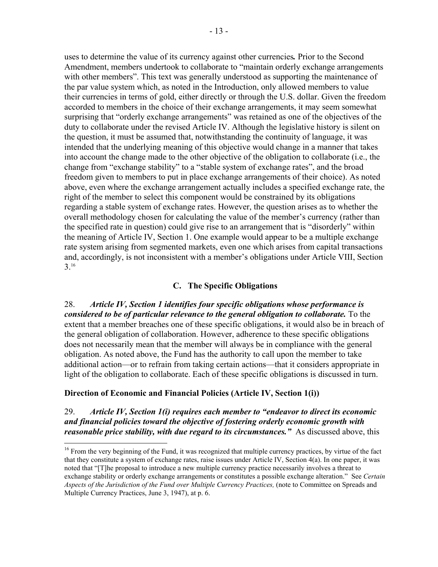uses to determine the value of its currency against other currencies*.* Prior to the Second Amendment, members undertook to collaborate to "maintain orderly exchange arrangements with other members". This text was generally understood as supporting the maintenance of the par value system which, as noted in the Introduction, only allowed members to value their currencies in terms of gold, either directly or through the U.S. dollar. Given the freedom accorded to members in the choice of their exchange arrangements, it may seem somewhat surprising that "orderly exchange arrangements" was retained as one of the objectives of the duty to collaborate under the revised Article IV. Although the legislative history is silent on the question, it must be assumed that, notwithstanding the continuity of language, it was intended that the underlying meaning of this objective would change in a manner that takes into account the change made to the other objective of the obligation to collaborate (i.e., the change from "exchange stability" to a "stable system of exchange rates", and the broad freedom given to members to put in place exchange arrangements of their choice). As noted above, even where the exchange arrangement actually includes a specified exchange rate, the right of the member to select this component would be constrained by its obligations regarding a stable system of exchange rates. However, the question arises as to whether the overall methodology chosen for calculating the value of the member's currency (rather than the specified rate in question) could give rise to an arrangement that is "disorderly" within the meaning of Article IV, Section 1. One example would appear to be a multiple exchange rate system arising from segmented markets, even one which arises from capital transactions and, accordingly, is not inconsistent with a member's obligations under Article VIII, Section 3.16

## **C. The Specific Obligations**

28. *Article IV, Section 1 identifies four specific obligations whose performance is considered to be of particular relevance to the general obligation to collaborate.* To the extent that a member breaches one of these specific obligations, it would also be in breach of the general obligation of collaboration. However, adherence to these specific obligations does not necessarily mean that the member will always be in compliance with the general obligation. As noted above, the Fund has the authority to call upon the member to take additional action—or to refrain from taking certain actions—that it considers appropriate in light of the obligation to collaborate. Each of these specific obligations is discussed in turn.

## **Direction of Economic and Financial Policies (Article IV, Section 1(i))**

1

29. *Article IV, Section 1(i) requires each member to "endeavor to direct its economic and financial policies toward the objective of fostering orderly economic growth with reasonable price stability, with due regard to its circumstances.*" As discussed above, this

<sup>&</sup>lt;sup>16</sup> From the very beginning of the Fund, it was recognized that multiple currency practices, by virtue of the fact that they constitute a system of exchange rates, raise issues under Article IV, Section 4(a). In one paper, it was noted that "[T]he proposal to introduce a new multiple currency practice necessarily involves a threat to exchange stability or orderly exchange arrangements or constitutes a possible exchange alteration." See *Certain Aspects of the Jurisdiction of the Fund over Multiple Currency Practices,* (note to Committee on Spreads and Multiple Currency Practices, June 3, 1947), at p. 6.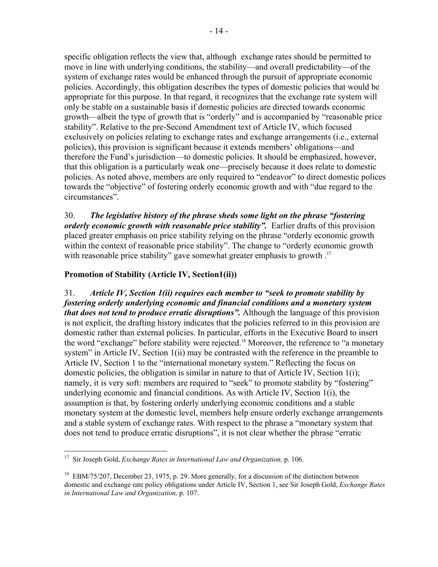specific obligation reflects the view that, although exchange rates should be permitted to move in line with underlying conditions, the stability—and overall predictability—of the system of exchange rates would be enhanced through the pursuit of appropriate economic policies. Accordingly, this obligation describes the types of domestic policies that would be appropriate for this purpose. In that regard, it recognizes that the exchange rate system will only be stable on a sustainable basis if domestic policies are directed towards economic growth—albeit the type of growth that is "orderly" and is accompanied by "reasonable price stability". Relative to the pre-Second Amendment text of Article IV, which focused exclusively on policies relating to exchange rates and exchange arrangements (i.e., external policies), this provision is significant because it extends members' obligations—and therefore the Fund's jurisdiction—to domestic policies. It should be emphasized, however, that this obligation is a particularly weak one—precisely because it does relate to domestic policies. As noted above, members are only required to "endeavor" to direct domestic polices towards the "objective" of fostering orderly economic growth and with "due regard to the circumstances".

30. *The legislative history of the phrase sheds some light on the phrase "fostering orderly economic growth with reasonable price stability".* Earlier drafts of this provision placed greater emphasis on price stability relying on the phrase "orderly economic growth within the context of reasonable price stability". The change to "orderly economic growth with reasonable price stability" gave somewhat greater emphasis to growth .<sup>17</sup>

## **Promotion of Stability (Article IV, Section1(ii))**

31. *Article IV, Section 1(ii) requires each member to "seek to promote stability by fostering orderly underlying economic and financial conditions and a monetary system that does not tend to produce erratic disruptions".* Although the language of this provision is not explicit, the drafting history indicates that the policies referred to in this provision are domestic rather than external policies. In particular, efforts in the Executive Board to insert the word "exchange" before stability were rejected.<sup>18</sup> Moreover, the reference to "a monetary system" in Article IV, Section 1(ii) may be contrasted with the reference in the preamble to Article IV, Section 1 to the "international monetary system." Reflecting the focus on domestic policies, the obligation is similar in nature to that of Article IV, Section 1(i); namely, it is very soft: members are required to "seek" to promote stability by "fostering" underlying economic and financial conditions. As with Article IV, Section 1(i), the assumption is that, by fostering orderly underlying economic conditions and a stable monetary system at the domestic level, members help ensure orderly exchange arrangements and a stable system of exchange rates. With respect to the phrase a "monetary system that does not tend to produce erratic disruptions", it is not clear whether the phrase "erratic

<sup>17</sup> Sir Joseph Gold, *Exchange Rates in International Law and Organization,* p. 106.

<sup>&</sup>lt;sup>18</sup> EBM/75/207, December 23, 1975, p. 29. More generally, for a discussion of the distinction between domestic and exchange rate policy obligations under Article IV, Section 1, see Sir Joseph Gold, *Exchange Rates in International Law and Organization,* p. 107.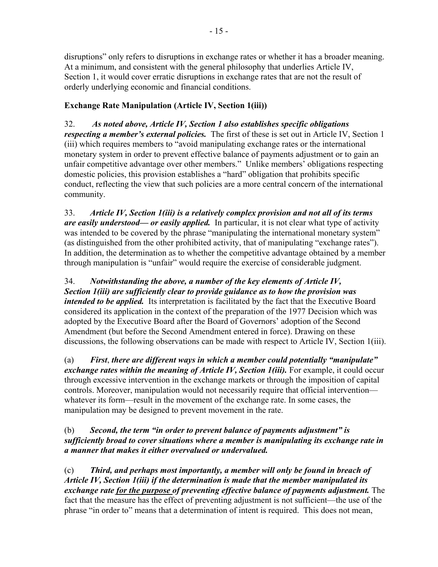disruptions" only refers to disruptions in exchange rates or whether it has a broader meaning. At a minimum, and consistent with the general philosophy that underlies Article IV, Section 1, it would cover erratic disruptions in exchange rates that are not the result of orderly underlying economic and financial conditions.

# **Exchange Rate Manipulation (Article IV, Section 1(iii))**

32. *As noted above, Article IV, Section 1 also establishes specific obligations respecting a member's external policies.* The first of these is set out in Article IV, Section 1 (iii) which requires members to "avoid manipulating exchange rates or the international monetary system in order to prevent effective balance of payments adjustment or to gain an unfair competitive advantage over other members." Unlike members' obligations respecting domestic policies, this provision establishes a "hard" obligation that prohibits specific conduct, reflecting the view that such policies are a more central concern of the international community.

33. *Article IV, Section 1(iii) is a relatively complex provision and not all of its terms are easily understood— or easily applied.* In particular, it is not clear what type of activity was intended to be covered by the phrase "manipulating the international monetary system" (as distinguished from the other prohibited activity, that of manipulating "exchange rates"). In addition, the determination as to whether the competitive advantage obtained by a member through manipulation is "unfair" would require the exercise of considerable judgment.

34. *Notwithstanding the above, a number of the key elements of Article IV, Section 1(iii) are sufficiently clear to provide guidance as to how the provision was intended to be applied.* Its interpretation is facilitated by the fact that the Executive Board considered its application in the context of the preparation of the 1977 Decision which was adopted by the Executive Board after the Board of Governors' adoption of the Second Amendment (but before the Second Amendment entered in force). Drawing on these discussions, the following observations can be made with respect to Article IV, Section 1(iii).

(a) *First*, *there are different ways in which a member could potentially "manipulate" exchange rates within the meaning of Article IV, Section 1(iii).* For example, it could occur through excessive intervention in the exchange markets or through the imposition of capital controls. Moreover, manipulation would not necessarily require that official intervention whatever its form—result in the movement of the exchange rate. In some cases, the manipulation may be designed to prevent movement in the rate.

## (b) *Second, the term "in order to prevent balance of payments adjustment" is sufficiently broad to cover situations where a member is manipulating its exchange rate in a manner that makes it either overvalued or undervalued.*

(c) *Third, and perhaps most importantly, a member will only be found in breach of Article IV, Section 1(iii) if the determination is made that the member manipulated its exchange rate for the purpose of preventing effective balance of payments adjustment.* The fact that the measure has the effect of preventing adjustment is not sufficient—the use of the phrase "in order to" means that a determination of intent is required. This does not mean,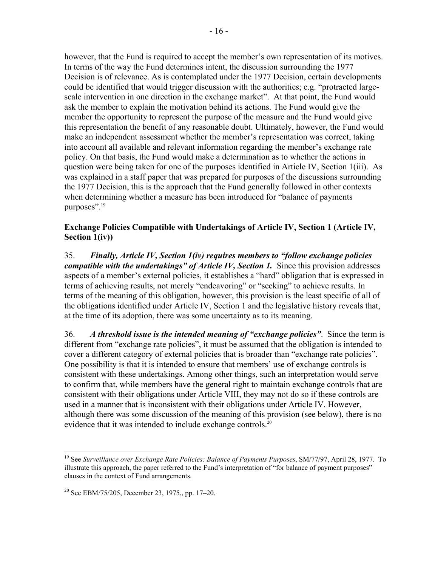however, that the Fund is required to accept the member's own representation of its motives. In terms of the way the Fund determines intent, the discussion surrounding the 1977 Decision is of relevance. As is contemplated under the 1977 Decision, certain developments could be identified that would trigger discussion with the authorities; e.g. "protracted largescale intervention in one direction in the exchange market". At that point, the Fund would ask the member to explain the motivation behind its actions. The Fund would give the member the opportunity to represent the purpose of the measure and the Fund would give this representation the benefit of any reasonable doubt. Ultimately, however, the Fund would make an independent assessment whether the member's representation was correct, taking into account all available and relevant information regarding the member's exchange rate policy. On that basis, the Fund would make a determination as to whether the actions in question were being taken for one of the purposes identified in Article IV, Section 1(iii). As was explained in a staff paper that was prepared for purposes of the discussions surrounding the 1977 Decision, this is the approach that the Fund generally followed in other contexts when determining whether a measure has been introduced for "balance of payments purposes".<sup>19</sup>

## **Exchange Policies Compatible with Undertakings of Article IV, Section 1 (Article IV, Section 1(iv))**

35. *Finally, Article IV, Section 1(iv) requires members to "follow exchange policies compatible with the undertakings" of Article IV, Section 1.* Since this provision addresses aspects of a member's external policies, it establishes a "hard" obligation that is expressed in terms of achieving results, not merely "endeavoring" or "seeking" to achieve results. In terms of the meaning of this obligation, however, this provision is the least specific of all of the obligations identified under Article IV, Section 1 and the legislative history reveals that, at the time of its adoption, there was some uncertainty as to its meaning.

36. *A threshold issue is the intended meaning of "exchange policies"*. Since the term is different from "exchange rate policies", it must be assumed that the obligation is intended to cover a different category of external policies that is broader than "exchange rate policies". One possibility is that it is intended to ensure that members' use of exchange controls is consistent with these undertakings. Among other things, such an interpretation would serve to confirm that, while members have the general right to maintain exchange controls that are consistent with their obligations under Article VIII, they may not do so if these controls are used in a manner that is inconsistent with their obligations under Article IV. However, although there was some discussion of the meaning of this provision (see below), there is no evidence that it was intended to include exchange controls.<sup>20</sup>

<sup>19</sup> See *Surveillance over Exchange Rate Policies: Balance of Payments Purposes*, SM/77/97, April 28, 1977. To illustrate this approach, the paper referred to the Fund's interpretation of "for balance of payment purposes" clauses in the context of Fund arrangements.

 $20$  See EBM/75/205, December 23, 1975,, pp. 17–20.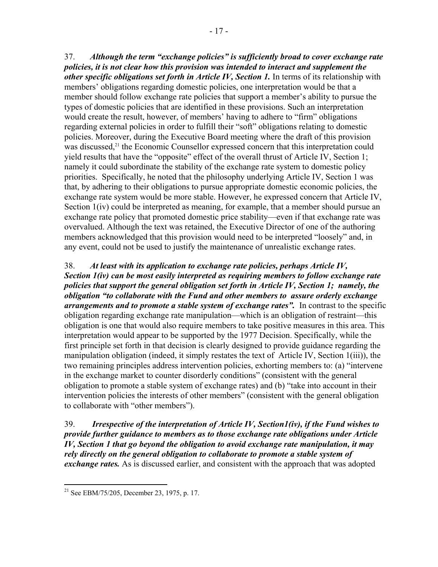37. *Although the term "exchange policies" is sufficiently broad to cover exchange rate policies, it is not clear how this provision was intended to interact and supplement the other specific obligations set forth in Article IV, Section 1.* In terms of its relationship with members' obligations regarding domestic policies, one interpretation would be that a member should follow exchange rate policies that support a member's ability to pursue the types of domestic policies that are identified in these provisions. Such an interpretation would create the result, however, of members' having to adhere to "firm" obligations regarding external policies in order to fulfill their "soft" obligations relating to domestic policies. Moreover, during the Executive Board meeting where the draft of this provision was discussed,<sup>21</sup> the Economic Counsellor expressed concern that this interpretation could yield results that have the "opposite" effect of the overall thrust of Article IV, Section 1; namely it could subordinate the stability of the exchange rate system to domestic policy priorities. Specifically, he noted that the philosophy underlying Article IV, Section 1 was that, by adhering to their obligations to pursue appropriate domestic economic policies, the exchange rate system would be more stable. However, he expressed concern that Article IV, Section  $1(iv)$  could be interpreted as meaning, for example, that a member should pursue an exchange rate policy that promoted domestic price stability—even if that exchange rate was overvalued. Although the text was retained, the Executive Director of one of the authoring members acknowledged that this provision would need to be interpreted "loosely" and, in any event, could not be used to justify the maintenance of unrealistic exchange rates.

38. *At least with its application to exchange rate policies, perhaps Article IV, Section 1(iv) can be most easily interpreted as requiring members to follow exchange rate policies that support the general obligation set forth in Article IV, Section 1; namely, the obligation "to collaborate with the Fund and other members to assure orderly exchange arrangements and to promote a stable system of exchange rates".* In contrast to the specific obligation regarding exchange rate manipulation—which is an obligation of restraint—this obligation is one that would also require members to take positive measures in this area. This interpretation would appear to be supported by the 1977 Decision. Specifically, while the first principle set forth in that decision is clearly designed to provide guidance regarding the manipulation obligation (indeed, it simply restates the text of Article IV, Section 1(iii)), the two remaining principles address intervention policies, exhorting members to: (a) "intervene in the exchange market to counter disorderly conditions" (consistent with the general obligation to promote a stable system of exchange rates) and (b) "take into account in their intervention policies the interests of other members" (consistent with the general obligation to collaborate with "other members").

39. *Irrespective of the interpretation of Article IV, Section1(iv), if the Fund wishes to provide further guidance to members as to those exchange rate obligations under Article IV, Section 1 that go beyond the obligation to avoid exchange rate manipulation, it may rely directly on the general obligation to collaborate to promote a stable system of exchange rates.* As is discussed earlier, and consistent with the approach that was adopted

<sup>&</sup>lt;sup>21</sup> See EBM/75/205, December 23, 1975, p. 17.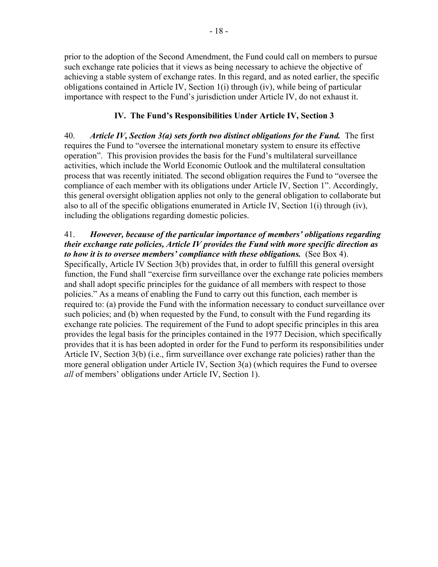prior to the adoption of the Second Amendment, the Fund could call on members to pursue such exchange rate policies that it views as being necessary to achieve the objective of achieving a stable system of exchange rates. In this regard, and as noted earlier, the specific obligations contained in Article IV, Section 1(i) through (iv), while being of particular importance with respect to the Fund's jurisdiction under Article IV, do not exhaust it.

## **IV. The Fund's Responsibilities Under Article IV, Section 3**

40. *Article IV, Section 3(a) sets forth two distinct obligations for the Fund.* The first requires the Fund to "oversee the international monetary system to ensure its effective operation".This provision provides the basis for the Fund's multilateral surveillance activities, which include the World Economic Outlook and the multilateral consultation process that was recently initiated. The second obligation requires the Fund to "oversee the compliance of each member with its obligations under Article IV, Section 1". Accordingly, this general oversight obligation applies not only to the general obligation to collaborate but also to all of the specific obligations enumerated in Article IV, Section 1(i) through (iv), including the obligations regarding domestic policies.

#### 41. *However, because of the particular importance of members' obligations regarding their exchange rate policies, Article IV provides the Fund with more specific direction as to how it is to oversee members' compliance with these obligations.* (See Box 4).

Specifically, Article IV Section 3(b) provides that, in order to fulfill this general oversight function, the Fund shall "exercise firm surveillance over the exchange rate policies members and shall adopt specific principles for the guidance of all members with respect to those policies." As a means of enabling the Fund to carry out this function, each member is required to: (a) provide the Fund with the information necessary to conduct surveillance over such policies; and (b) when requested by the Fund, to consult with the Fund regarding its exchange rate policies. The requirement of the Fund to adopt specific principles in this area provides the legal basis for the principles contained in the 1977 Decision, which specifically provides that it is has been adopted in order for the Fund to perform its responsibilities under Article IV, Section 3(b) (i.e., firm surveillance over exchange rate policies) rather than the more general obligation under Article IV, Section 3(a) (which requires the Fund to oversee *all* of members' obligations under Article IV, Section 1).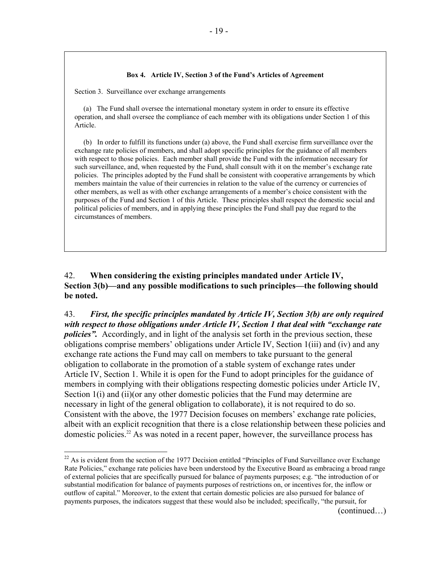#### **Box 4. Article IV, Section 3 of the Fund's Articles of Agreement**

Section 3. Surveillance over exchange arrangements

1

 (a) The Fund shall oversee the international monetary system in order to ensure its effective operation, and shall oversee the compliance of each member with its obligations under Section 1 of this Article.

 (b) In order to fulfill its functions under (a) above, the Fund shall exercise firm surveillance over the exchange rate policies of members, and shall adopt specific principles for the guidance of all members with respect to those policies. Each member shall provide the Fund with the information necessary for such surveillance, and, when requested by the Fund, shall consult with it on the member's exchange rate policies. The principles adopted by the Fund shall be consistent with cooperative arrangements by which members maintain the value of their currencies in relation to the value of the currency or currencies of other members, as well as with other exchange arrangements of a member's choice consistent with the purposes of the Fund and Section 1 of this Article. These principles shall respect the domestic social and political policies of members, and in applying these principles the Fund shall pay due regard to the circumstances of members.

## 42. **When considering the existing principles mandated under Article IV, Section 3(b)—and any possible modifications to such principles—the following should be noted.**

43. *First, the specific principles mandated by Article IV, Section 3(b) are only required with respect to those obligations under Article IV, Section 1 that deal with "exchange rate policies*". Accordingly, and in light of the analysis set forth in the previous section, these obligations comprise members' obligations under Article IV, Section 1(iii) and (iv) and any exchange rate actions the Fund may call on members to take pursuant to the general obligation to collaborate in the promotion of a stable system of exchange rates under Article IV, Section 1. While it is open for the Fund to adopt principles for the guidance of members in complying with their obligations respecting domestic policies under Article IV, Section 1(i) and (ii)(or any other domestic policies that the Fund may determine are necessary in light of the general obligation to collaborate), it is not required to do so. Consistent with the above, the 1977 Decision focuses on members' exchange rate policies, albeit with an explicit recognition that there is a close relationship between these policies and domestic policies.<sup>22</sup> As was noted in a recent paper, however, the surveillance process has

<sup>&</sup>lt;sup>22</sup> As is evident from the section of the 1977 Decision entitled "Principles of Fund Surveillance over Exchange Rate Policies," exchange rate policies have been understood by the Executive Board as embracing a broad range of external policies that are specifically pursued for balance of payments purposes; e.g. "the introduction of or substantial modification for balance of payments purposes of restrictions on, or incentives for, the inflow or outflow of capital." Moreover, to the extent that certain domestic policies are also pursued for balance of payments purposes, the indicators suggest that these would also be included; specifically, "the pursuit, for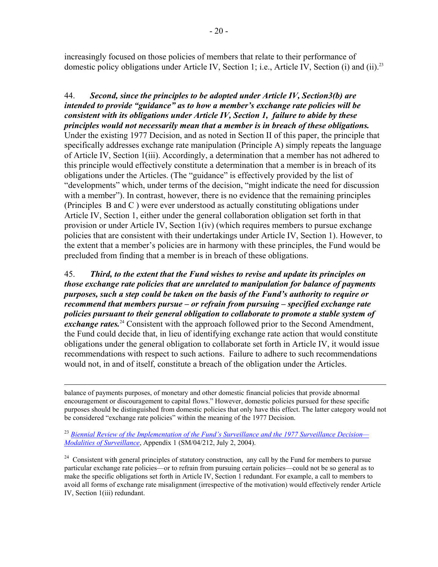increasingly focused on those policies of members that relate to their performance of domestic policy obligations under Article IV, Section 1; i.e., Article IV, Section (i) and (ii).<sup>23</sup>

## 44. *Second, since the principles to be adopted under Article IV, Section3(b) are intended to provide "guidance" as to how a member's exchange rate policies will be consistent with its obligations under Article IV, Section 1, failure to abide by these principles would not necessarily mean that a member is in breach of these obligations.*

Under the existing 1977 Decision, and as noted in Section II of this paper, the principle that specifically addresses exchange rate manipulation (Principle A) simply repeats the language of Article IV, Section 1(iii). Accordingly, a determination that a member has not adhered to this principle would effectively constitute a determination that a member is in breach of its obligations under the Articles. (The "guidance" is effectively provided by the list of "developments" which, under terms of the decision, "might indicate the need for discussion with a member"). In contrast, however, there is no evidence that the remaining principles (Principles B and C ) were ever understood as actually constituting obligations under Article IV, Section 1, either under the general collaboration obligation set forth in that provision or under Article IV, Section 1(iv) (which requires members to pursue exchange policies that are consistent with their undertakings under Article IV, Section 1). However, to the extent that a member's policies are in harmony with these principles, the Fund would be precluded from finding that a member is in breach of these obligations.

45. *Third, to the extent that the Fund wishes to revise and update its principles on those exchange rate policies that are unrelated to manipulation for balance of payments purposes, such a step could be taken on the basis of the Fund's authority to require or recommend that members pursue – or refrain from pursuing – specified exchange rate policies pursuant to their general obligation to collaborate to promote a stable system of exchange rates.*<sup>24</sup> Consistent with the approach followed prior to the Second Amendment, the Fund could decide that, in lieu of identifying exchange rate action that would constitute obligations under the general obligation to collaborate set forth in Article IV, it would issue recommendations with respect to such actions. Failure to adhere to such recommendations would not, in and of itself, constitute a breach of the obligation under the Articles.

 balance of payments purposes, of monetary and other domestic financial policies that provide abnormal encouragement or discouragement to capital flows." However, domestic policies pursued for these specific purposes should be distinguished from domestic policies that only have this effect. The latter category would not be considered "exchange rate policies" within the meaning of the 1977 Decision.

<sup>23</sup> *Biennial Review of the Implementation of the Fund's Surveillance and the 1977 Surveillance Decision— Modalities of Surveillance*, Appendix 1 (SM/04/212, July 2, 2004).

<sup>24</sup> Consistent with general principles of statutory construction, any call by the Fund for members to pursue particular exchange rate policies—or to refrain from pursuing certain policies—could not be so general as to make the specific obligations set forth in Article IV, Section 1 redundant. For example, a call to members to avoid all forms of exchange rate misalignment (irrespective of the motivation) would effectively render Article IV, Section 1(iii) redundant.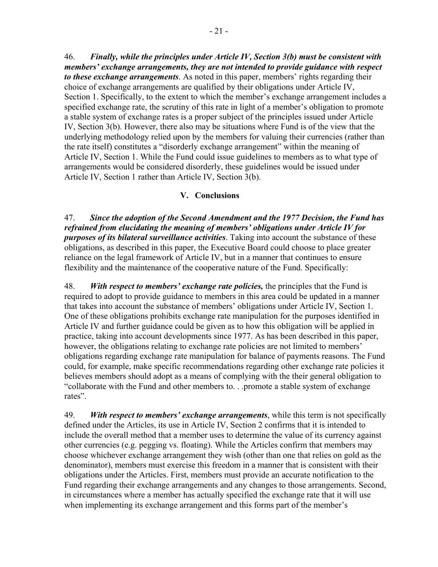46. *Finally, while the principles under Article IV, Section 3(b) must be consistent with members' exchange arrangements, they are not intended to provide guidance with respect to these exchange arrangements*. As noted in this paper, members' rights regarding their choice of exchange arrangements are qualified by their obligations under Article IV, Section 1. Specifically, to the extent to which the member's exchange arrangement includes a specified exchange rate, the scrutiny of this rate in light of a member's obligation to promote a stable system of exchange rates is a proper subject of the principles issued under Article IV, Section 3(b). However, there also may be situations where Fund is of the view that the underlying methodology relied upon by the members for valuing their currencies (rather than the rate itself) constitutes a "disorderly exchange arrangement" within the meaning of Article IV, Section 1. While the Fund could issue guidelines to members as to what type of arrangements would be considered disorderly, these guidelines would be issued under Article IV, Section 1 rather than Article IV, Section 3(b).

## **V. Conclusions**

47. *Since the adoption of the Second Amendment and the 1977 Decision, the Fund has refrained from elucidating the meaning of members' obligations under Article IV for purposes of its bilateral surveillance activities*. Taking into account the substance of these obligations, as described in this paper, the Executive Board could choose to place greater reliance on the legal framework of Article IV, but in a manner that continues to ensure flexibility and the maintenance of the cooperative nature of the Fund. Specifically:

48. *With respect to members' exchange rate policies,* the principles that the Fund is required to adopt to provide guidance to members in this area could be updated in a manner that takes into account the substance of members' obligations under Article IV, Section 1. One of these obligations prohibits exchange rate manipulation for the purposes identified in Article IV and further guidance could be given as to how this obligation will be applied in practice, taking into account developments since 1977. As has been described in this paper, however, the obligations relating to exchange rate policies are not limited to members' obligations regarding exchange rate manipulation for balance of payments reasons. The Fund could, for example, make specific recommendations regarding other exchange rate policies it believes members should adopt as a means of complying with the their general obligation to "collaborate with the Fund and other members to. . .promote a stable system of exchange rates".

49. *With respect to members' exchange arrangements*, while this term is not specifically defined under the Articles, its use in Article IV, Section 2 confirms that it is intended to include the overall method that a member uses to determine the value of its currency against other currencies (e.g. pegging vs. floating). While the Articles confirm that members may choose whichever exchange arrangement they wish (other than one that relies on gold as the denominator), members must exercise this freedom in a manner that is consistent with their obligations under the Articles. First, members must provide an accurate notification to the Fund regarding their exchange arrangements and any changes to those arrangements. Second, in circumstances where a member has actually specified the exchange rate that it will use when implementing its exchange arrangement and this forms part of the member's